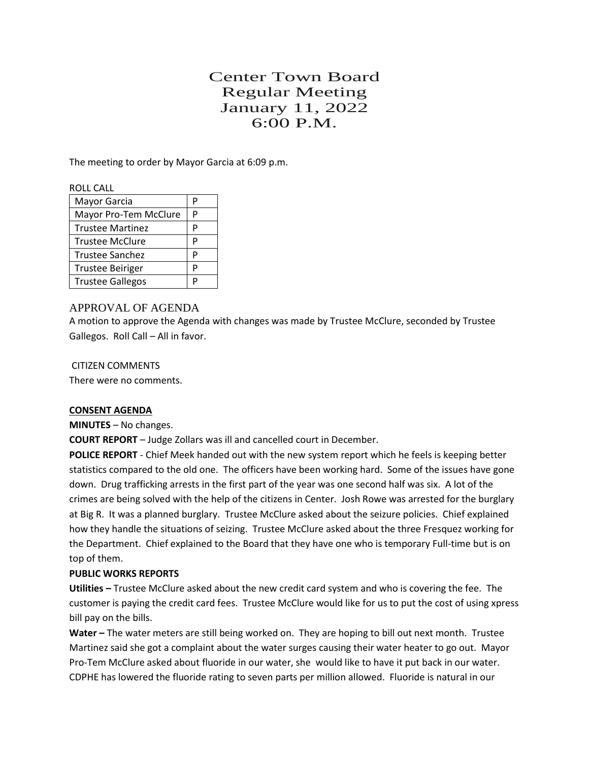# Center Town Board Regular Meeting January 11, 2022 6:00 P.M.

The meeting to order by Mayor Garcia at 6:09 p.m.

#### ROLL CALL

| Mayor Garcia            | P |
|-------------------------|---|
| Mayor Pro-Tem McClure   | P |
| <b>Trustee Martinez</b> | P |
| <b>Trustee McClure</b>  | D |
| <b>Trustee Sanchez</b>  | D |
| <b>Trustee Beiriger</b> | p |
| <b>Trustee Gallegos</b> | D |

# APPROVAL OF AGENDA

A motion to approve the Agenda with changes was made by Trustee McClure, seconded by Trustee Gallegos. Roll Call – All in favor.

CITIZEN COMMENTS There were no comments.

# **CONSENT AGENDA**

**MINUTES** – No changes.

**COURT REPORT** – Judge Zollars was ill and cancelled court in December.

**POLICE REPORT** - Chief Meek handed out with the new system report which he feels is keeping better statistics compared to the old one. The officers have been working hard. Some of the issues have gone down. Drug trafficking arrests in the first part of the year was one second half was six. A lot of the crimes are being solved with the help of the citizens in Center. Josh Rowe was arrested for the burglary at Big R. It was a planned burglary. Trustee McClure asked about the seizure policies. Chief explained how they handle the situations of seizing. Trustee McClure asked about the three Fresquez working for the Department. Chief explained to the Board that they have one who is temporary Full-time but is on top of them.

# **PUBLIC WORKS REPORTS**

**Utilities –** Trustee McClure asked about the new credit card system and who is covering the fee. The customer is paying the credit card fees. Trustee McClure would like for us to put the cost of using xpress bill pay on the bills.

**Water –** The water meters are still being worked on. They are hoping to bill out next month. Trustee Martinez said she got a complaint about the water surges causing their water heater to go out. Mayor Pro-Tem McClure asked about fluoride in our water, she would like to have it put back in our water. CDPHE has lowered the fluoride rating to seven parts per million allowed. Fluoride is natural in our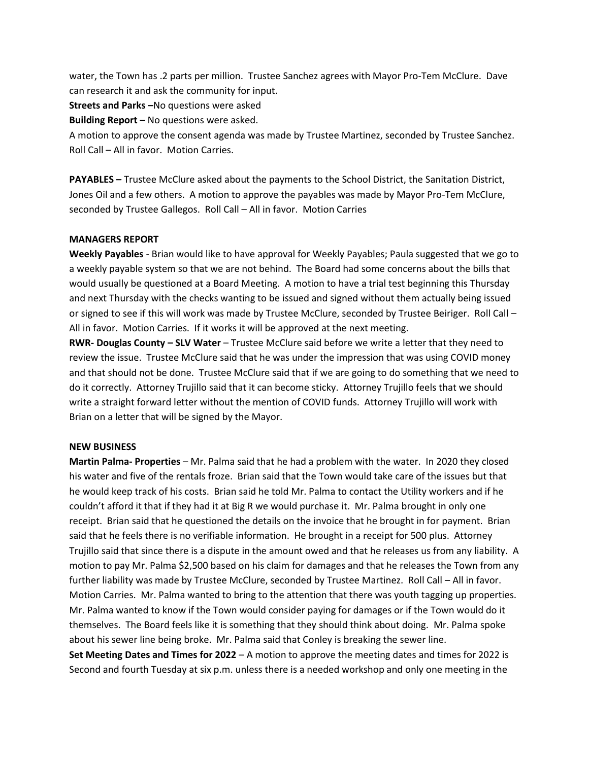water, the Town has .2 parts per million. Trustee Sanchez agrees with Mayor Pro-Tem McClure. Dave can research it and ask the community for input.

**Streets and Parks –**No questions were asked

**Building Report –** No questions were asked.

A motion to approve the consent agenda was made by Trustee Martinez, seconded by Trustee Sanchez. Roll Call – All in favor. Motion Carries.

**PAYABLES –** Trustee McClure asked about the payments to the School District, the Sanitation District, Jones Oil and a few others. A motion to approve the payables was made by Mayor Pro-Tem McClure, seconded by Trustee Gallegos. Roll Call – All in favor. Motion Carries

#### **MANAGERS REPORT**

**Weekly Payables** - Brian would like to have approval for Weekly Payables; Paula suggested that we go to a weekly payable system so that we are not behind. The Board had some concerns about the bills that would usually be questioned at a Board Meeting. A motion to have a trial test beginning this Thursday and next Thursday with the checks wanting to be issued and signed without them actually being issued or signed to see if this will work was made by Trustee McClure, seconded by Trustee Beiriger. Roll Call – All in favor. Motion Carries. If it works it will be approved at the next meeting.

**RWR- Douglas County – SLV Water** – Trustee McClure said before we write a letter that they need to review the issue. Trustee McClure said that he was under the impression that was using COVID money and that should not be done. Trustee McClure said that if we are going to do something that we need to do it correctly. Attorney Trujillo said that it can become sticky. Attorney Trujillo feels that we should write a straight forward letter without the mention of COVID funds. Attorney Trujillo will work with Brian on a letter that will be signed by the Mayor.

#### **NEW BUSINESS**

**Martin Palma- Properties** – Mr. Palma said that he had a problem with the water. In 2020 they closed his water and five of the rentals froze. Brian said that the Town would take care of the issues but that he would keep track of his costs. Brian said he told Mr. Palma to contact the Utility workers and if he couldn't afford it that if they had it at Big R we would purchase it. Mr. Palma brought in only one receipt. Brian said that he questioned the details on the invoice that he brought in for payment. Brian said that he feels there is no verifiable information. He brought in a receipt for 500 plus. Attorney Trujillo said that since there is a dispute in the amount owed and that he releases us from any liability. A motion to pay Mr. Palma \$2,500 based on his claim for damages and that he releases the Town from any further liability was made by Trustee McClure, seconded by Trustee Martinez. Roll Call – All in favor. Motion Carries. Mr. Palma wanted to bring to the attention that there was youth tagging up properties. Mr. Palma wanted to know if the Town would consider paying for damages or if the Town would do it themselves. The Board feels like it is something that they should think about doing. Mr. Palma spoke about his sewer line being broke. Mr. Palma said that Conley is breaking the sewer line. **Set Meeting Dates and Times for 2022** – A motion to approve the meeting dates and times for 2022 is

Second and fourth Tuesday at six p.m. unless there is a needed workshop and only one meeting in the